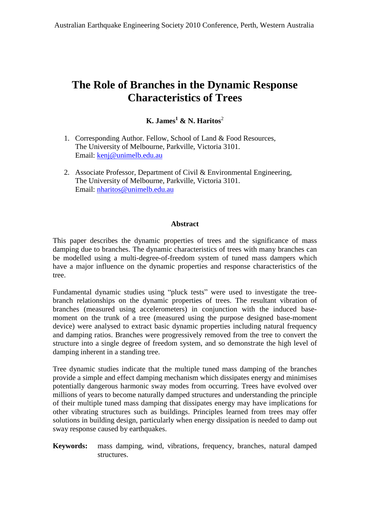# **The Role of Branches in the Dynamic Response Characteristics of Trees**

## **K. James <sup>1</sup> & N. Haritos** 2

- 1. Corresponding Author. Fellow, School of Land & Food Resources, The University of Melbourne, Parkville, Victoria 3101. Email: [kenj@unimelb.edu.au](mailto:kenj@unimelb.edu.au)
- 2. Associate Professor, Department of Civil & Environmental Engineering, The University of Melbourne, Parkville, Victoria 3101. Email: [nharitos@unimelb.edu.au](mailto:nharitos@unimelb.edu.au)

#### **Abstract**

This paper describes the dynamic properties of trees and the significance of mass damping due to branches. The dynamic characteristics of trees with many branches can be modelled using a multi-degree-of-freedom system of tuned mass dampers which have a major influence on the dynamic properties and response characteristics of the tree.

Fundamental dynamic studies using "pluck tests" were used to investigate the treebranch relationships on the dynamic properties of trees. The resultant vibration of branches (measured using accelerometers) in conjunction with the induced base moment on the trunk of a tree (measured using the purpose designed base-moment device) were analysed to extract basic dynamic properties including natural frequency and damping ratios. Branches were progressively removed from the tree to convert the structure into a single degree of freedom system, and so demonstrate the high level of damping inherent in a standing tree.

Tree dynamic studies indicate that the multiple tuned mass damping of the branches provide a simple and effect damping mechanism which dissipates energy and minimises potentially dangerous harmonic sway modes from occurring. Trees have evolved over millions of years to become naturally damped structures and understanding the principle of their multiple tuned mass damping that dissipates energy may have implications for other vibrating structures such as buildings. Principles learned from trees may offer solutions in building design, particularly when energy dissipation is needed to damp out sway response caused by earthquakes.

#### **Keywords:** mass damping, wind, vibrations, frequency, branches, natural damped structures.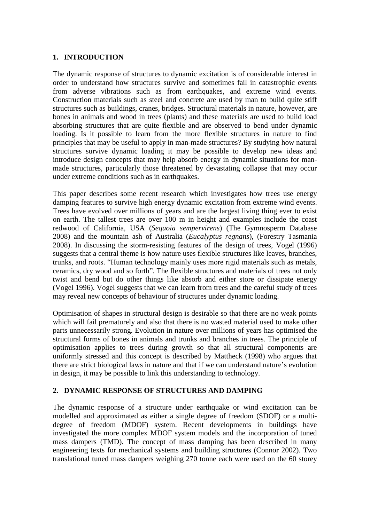#### **1. INTRODUCTION**

The dynamic response of structures to dynamic excitation is of considerable interest in order to understand how structures survive and sometimes fail in catastrophic events from adverse vibrations such as from earthquakes, and extreme wind events. Construction materials such as steel and concrete are used by man to build quite stiff structures such as buildings, cranes, bridges. Structural materials in nature, however, are bones in animals and wood in trees (plants) and these materials are used to build load absorbing structures that are quite flexible and are observed to bend under dynamic loading. Is it possible to learn from the more flexible structures in nature to find principles that may be useful to apply in man-made structures? By studying how natural structures survive dynamic loading it may be possible to develop new ideas and introduce design concepts that may help absorb energy in dynamic situations for man made structures, particularly those threatened by devastating collapse that may occur under extreme conditions such as in earthquakes.

This paper describes some recent research which investigates how trees use energy damping features to survive high energy dynamic excitation from extreme wind events. Trees have evolved over millions of years and are the largest living thing ever to exist on earth. The tallest trees are over 100 m in height and examples include the coast redwood of California, USA (*Sequoia sempervirens*) (The Gymnosperm Database 2008) and the mountain ash of Australia (*Eucalyptus regnans*), (Forestry Tasmania 2008). In discussing the storm-resisting features of the design of trees, Vogel (1996) suggests that a central theme is how nature uses flexible structures like leaves, branches, trunks, and roots. "Human technology mainly suggests that a central theme is how nature uses flexible structures like leaves, branches, trunks, and roots. "Human technology mainly uses more rigid materials such as metals, ceramics, dry wood and so forth". The flexible structures and materials of trees not only twist and bend but do other things like absorb and either store or dissipate energy (Vogel 1996). Vogel suggests that we can learn from trees and the careful study of trees may reveal new concepts of behaviour of structures under dynamic loading.

Optimisation of shapes in structural design is desirable so that there are no weak points which will fail prematurely and also that there is no wasted material used to make other parts unnecessarily strong. Evolution in nature over millions of years has optimised the structural forms of bones in animals and trunks and branches in trees. The principle of optimisation applies to trees during growth so that all structural components are uniformly stressed and this concept is described by Mattheck (1998) who argues that there are strict biological laws in nature and that if w uniformly stressed and this concept is described by Mattheck (1998) who argues that in design, it may be possible to link this understanding to technology.

## **2. DYNAMIC RESPONSE OF STRUCTURES AND DAMPING**

The dynamic response of a structure under earthquake or wind excitation can be modelled and approximated as either a single degree of freedom (SDOF) or a multi degree of freedom (MDOF) system. Recent developments in buildings have investigated the more complex MDOF system models and the incorporation of tuned mass dampers (TMD). The concept of mass damping has been described in many engineering texts for mechanical systems and building structures (Connor 2002). Two translational tuned mass dampers weighing 270 tonne each were used on the 60 storey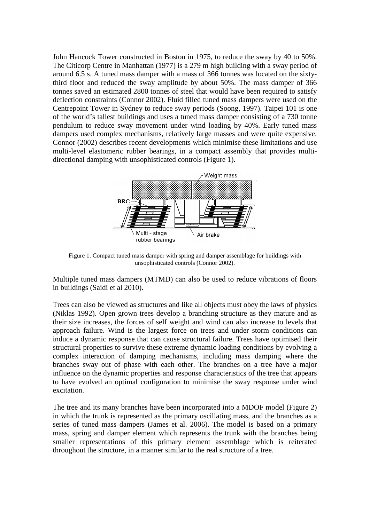John Hancock Tower constructed in Boston in 1975, to reduce the sway by 40 to 50%. The Citicorp Centre in Manhattan  $(1977)$  is a 279 m high building with a sway period of around 6.5 s. A tuned mass damper with a mass of 366 tonnes was located on the sixtythird floor and reduced the sway amplitude by about 50%. The mass damper of 366 tonnes saved an estimated 2800 tonnes of steel that would have been required to satisfy deflection constraints (Connor 2002). Fluid filled tuned mass dampers were used on the Centrepoint Tower in Sydney to reduce sway periods (Soong, 1997). Taipei 101 is one deflection constraints (Connor 2002). Fluid filled tuned mass dampers were used on the Centrepoint Tower in Sydney to reduce sway periods (Soong, 1997). Taipei 101 is one of the world's tallest buildings and uses a tuned m pendulum to reduce sway movement under wind loading by 40%. Early tuned mass dampers used complex mechanisms, relatively large masses and were quite expensive. Connor (2002) describes recent developments which minimise these limitations and use multi-level elastomeric rubber bearings, in a compact assembly that provides multi directional damping with unsophisticated controls (Figure 1).



Figure 1. Compact tuned mass damper with spring and damper assemblage for buildings with unsophisticated controls (Connor 2002).

Multiple tuned mass dampers (MTMD) can also be used to reduce vibrations of floors in buildings (Saidi et al 2010).

Trees can also be viewed as structures and like all objects must obey the laws of physics (Niklas 1992). Open grown trees develop a branching structure as they mature and as their size increases, the forces of self weight and wind can also increase to levels that approach failure. Wind is the largest force on trees and under storm conditions can induce a dynamic response that can cause structural failure. Trees have optimised their structural properties to survive these extreme dynamic loading conditions by evolving a complex interaction of damping mechanisms, including mass damping where the branches sway out of phase with each other. The branches on a tree have a major influence on the dynamic properties and response characteristics of the tree that appears to have evolved an optimal configuration to minimise the sway response under wind excitation.

The tree and its many branches have been incorporated into a MDOF model (Figure 2) in which the trunk is represented as the primary oscillating mass, and the branches as a series of tuned mass dampers (James et al. 2006). The model is based on a primary mass, spring and damper element which represents the trunk with the branches being smaller representations of this primary element assemblage which is reiterated throughout the structure, in a manner similar to the real structure of a tree.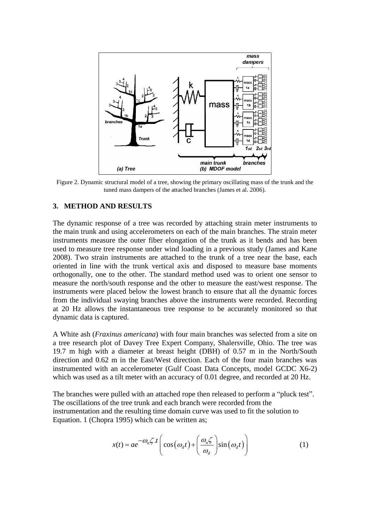

Figure 2. Dynamic structural model of a tree, showing the primary oscillating mass of the trunk and the tuned mass dampers of the attached branches (James et al. 2006).

## **3. METHOD AND RESULTS**

The dynamic response of a tree was recorded by attaching strain meter instruments to the main trunk and using accelerometers on each of the main branches. The strain meter instruments measure the outer fiber elongation of the trunk as it bends and has been used to measure tree response under wind loading in a previous study (James and Kane 2008). Two strain instruments are attached to the trunk of a tree near the base, each oriented in line with the trunk vertical axis and disposed to measure base moments orthogonally, one to the other. The standard method used was to orient one sensor to measure the north/south response and the other to measure the east/west response. The instruments were placed below the lowest branch to ensure that all the dynamic forces from the individual swaying branches above the instruments were recorded. Recording at 20 Hz allows the instantaneous tree response to be accurately monitored so that dynamic data is captured.

A White ash (*Fraxinus americana*) with four main branches was selected from a site on a tree research plot of Davey Tree Expert Company, Shalersville, Ohio. The tree was 19.7 m high with a diameter at breast height (DBH) of 0.57 m in the North/South direction and  $0.62$  m in the East/West direction. Each of the four main branches was instrumented with an accelerometer (Gulf Coast Data Concepts, model GCDC X6-2) which was used as a tilt meter with an accuracy of 0.01 degree, and recorded at 20 Hz.<br>The branches were pulled with an attached rope then released to perform a "pluck test".

The oscillations of the tree trunk and each branch were recorded from the instrumentation and the resulting time domain curve was used to fit the solution to Equation. 1 (Chopra 1995) which can be written as;<br> $-\omega \zeta t \left( \omega \zeta + \omega \zeta \right)$ 

$$
x(t) = ae^{-\omega_n \zeta \cdot t} \left( \cos(\omega_d t) + \left( \frac{\omega_n \zeta}{\omega_d} \right) \sin(\omega_d t) \right)
$$
 (1)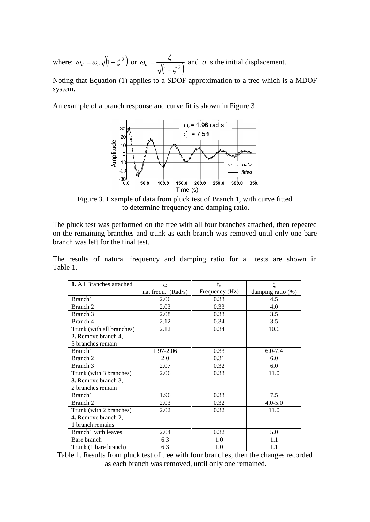where:  $\omega_d = \omega_n \sqrt{1 - \zeta^2}$  or  $\omega_d = \frac{\zeta}{\sqrt{1 - \zeta^2}}$  and a is the  $\omega_{\ell} = \frac{\zeta}{\sqrt{2\pi}}$  and  $\overline{a}$  $d = \frac{\zeta}{\sqrt{1 - \frac{2}{n}}}$  and *a* is the initial displacement.

Noting that Equation (1) applies to a SDOF approximation to a tree which is a MDOF system.

An example of a branch response and curve fit is shown in Figure 3



Figure 3. Example of data from pluck testof Branch 1, with curve fitted to determine frequency and damping ratio.

The pluck test was performed on the tree with all four branches attached, then repeated on the remaining branches and trunk as each branch was removed until only one bare branch was left for the final test.

The results of natural frequency and damping ratio for all tests are shown in Table 1.

| <b>1.</b> All Branches attached | $\omega$             | $f_{0}$        | ζ                 |
|---------------------------------|----------------------|----------------|-------------------|
|                                 | nat frequ. $(Rad/s)$ | Frequency (Hz) | damping ratio (%) |
| Branch1                         | 2.06                 | 0.33           | 4.5               |
| Branch 2                        | 2.03                 | 0.33           | 4.0               |
| Branch 3                        | 2.08                 | 0.33           | 3.5               |
| Branch 4                        | 2.12                 | 0.34           | 3.5               |
| Trunk (with all branches)       | 2.12                 | 0.34           | 10.6              |
| 2. Remove branch 4,             |                      |                |                   |
| 3 branches remain               |                      |                |                   |
| Branch1                         | 1.97-2.06            | 0.33           | $6.0 - 7.4$       |
| Branch 2                        | 2.0                  | 0.31           | 6.0               |
| Branch 3                        | 2.07                 | 0.32           | 6.0               |
| Trunk (with 3 branches)         | 2.06                 | 0.33           | 11.0              |
| 3. Remove branch 3,             |                      |                |                   |
| 2 branches remain               |                      |                |                   |
| Branch1                         | 1.96                 | 0.33           | 7.5               |
| Branch 2                        | 2.03                 | 0.32           | $4.0 - 5.0$       |
| Trunk (with 2 branches)         | 2.02                 | 0.32           | 11.0              |
| 4. Remove branch 2,             |                      |                |                   |
| 1 branch remains                |                      |                |                   |
| Branch1 with leaves             | 2.04                 | 0.32           | 5.0               |
| Bare branch                     | 6.3                  | 1.0            | 1.1               |
| Trunk (1 bare branch)           | 6.3                  | 1.0            | 1.1               |

Table 1. Results from pluck test of tree with four branches, then the changes recorded as each branch was removed, until only one remained.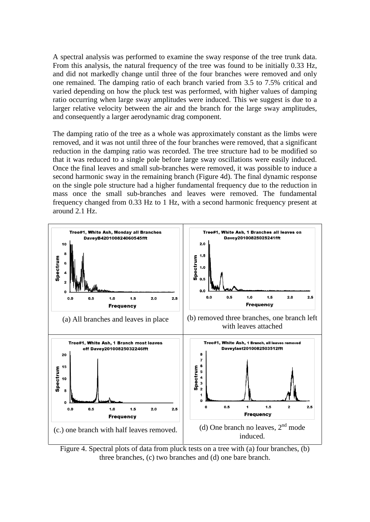A spectral analysis was performed to examine the sway response of the tree trunk data. From this analysis, the natural frequency of the tree was found to be initially 0.33 Hz, and did not markedly change until three of the four branches were removed and only one remained. The damping ratio of each branch varied from 3.5 to 7.5% critical and varied depending on how the pluck test was performed, with higher values of damping ratio occurring when large sway amplitudes were induced. This we suggest is due to a larger relative velocity between the air and the branch for the large sway amplitudes, and consequently a larger aerodynamic drag component.

The damping ratio of the tree as a whole was approximately constant as the limbs were removed, and it was not until three of the four branches were removed, that a significant reduction in the damping ratio was recorded. The tree structure had to be modified so that it was reduced to a single pole before large sway oscillations were easily induced. Once the final leaves and small sub-branches were removed, it was possible to induce a second harmonic sway in the remaining branch (Figure 4d). The final dynamic response on the single pole structure had a higher fundamental frequency due to the reduction in mass once the small sub-branches and leaves were removed. The fundamental frequency changed from 0.33Hz to 1 Hz, with a second harmonic frequency present at around 2.1 Hz.



Figure 4. Spectral plots of data from pluck tests on a tree with (a) four branches, (b) three branches, (c) two branches and (d) one bare branch.